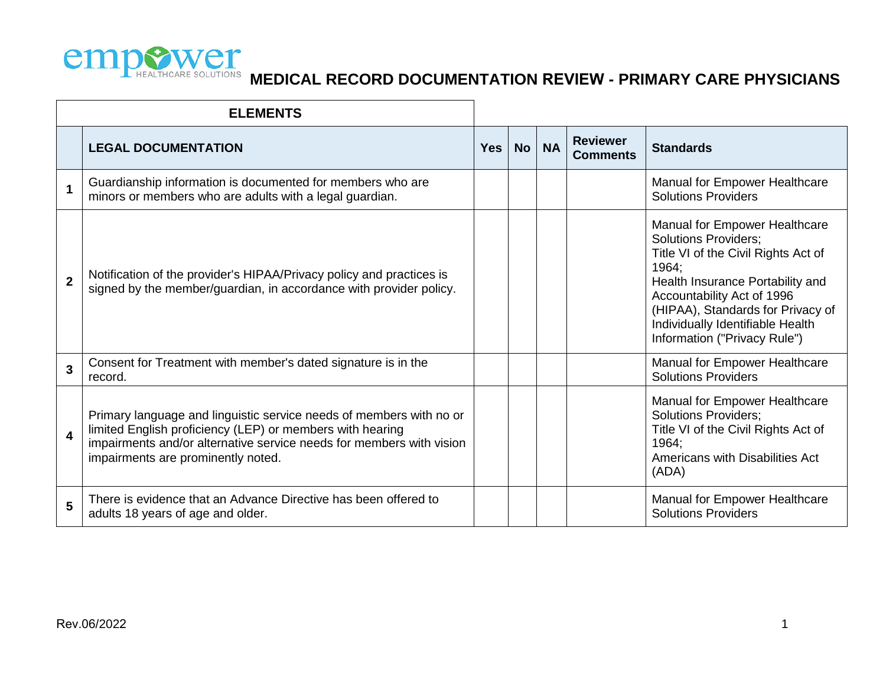

|                  | <b>ELEMENTS</b>                                                                                                                                                                                                                                |            |           |           |                                    |                                                                                                                                                                                                                                                                                         |
|------------------|------------------------------------------------------------------------------------------------------------------------------------------------------------------------------------------------------------------------------------------------|------------|-----------|-----------|------------------------------------|-----------------------------------------------------------------------------------------------------------------------------------------------------------------------------------------------------------------------------------------------------------------------------------------|
|                  | <b>LEGAL DOCUMENTATION</b>                                                                                                                                                                                                                     | <b>Yes</b> | <b>No</b> | <b>NA</b> | <b>Reviewer</b><br><b>Comments</b> | <b>Standards</b>                                                                                                                                                                                                                                                                        |
| 1                | Guardianship information is documented for members who are<br>minors or members who are adults with a legal guardian.                                                                                                                          |            |           |           |                                    | Manual for Empower Healthcare<br><b>Solutions Providers</b>                                                                                                                                                                                                                             |
| $\overline{2}$   | Notification of the provider's HIPAA/Privacy policy and practices is<br>signed by the member/guardian, in accordance with provider policy.                                                                                                     |            |           |           |                                    | Manual for Empower Healthcare<br><b>Solutions Providers;</b><br>Title VI of the Civil Rights Act of<br>1964:<br>Health Insurance Portability and<br>Accountability Act of 1996<br>(HIPAA), Standards for Privacy of<br>Individually Identifiable Health<br>Information ("Privacy Rule") |
| 3                | Consent for Treatment with member's dated signature is in the<br>record.                                                                                                                                                                       |            |           |           |                                    | Manual for Empower Healthcare<br><b>Solutions Providers</b>                                                                                                                                                                                                                             |
| $\boldsymbol{4}$ | Primary language and linguistic service needs of members with no or<br>limited English proficiency (LEP) or members with hearing<br>impairments and/or alternative service needs for members with vision<br>impairments are prominently noted. |            |           |           |                                    | Manual for Empower Healthcare<br><b>Solutions Providers;</b><br>Title VI of the Civil Rights Act of<br>1964:<br>Americans with Disabilities Act<br>(ADA)                                                                                                                                |
| 5                | There is evidence that an Advance Directive has been offered to<br>adults 18 years of age and older.                                                                                                                                           |            |           |           |                                    | Manual for Empower Healthcare<br><b>Solutions Providers</b>                                                                                                                                                                                                                             |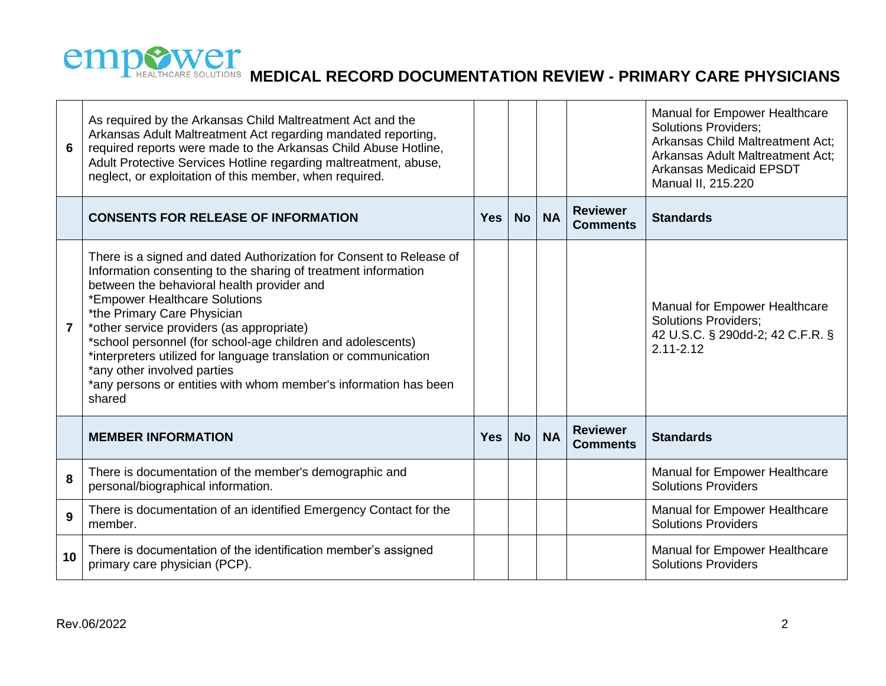

| 6                       | As required by the Arkansas Child Maltreatment Act and the<br>Arkansas Adult Maltreatment Act regarding mandated reporting,<br>required reports were made to the Arkansas Child Abuse Hotline,<br>Adult Protective Services Hotline regarding maltreatment, abuse,<br>neglect, or exploitation of this member, when required.                                                                                                                                                                                                                    |            |           |           |                                    | Manual for Empower Healthcare<br><b>Solutions Providers;</b><br>Arkansas Child Maltreatment Act;<br>Arkansas Adult Maltreatment Act;<br><b>Arkansas Medicaid EPSDT</b><br>Manual II, 215.220 |
|-------------------------|--------------------------------------------------------------------------------------------------------------------------------------------------------------------------------------------------------------------------------------------------------------------------------------------------------------------------------------------------------------------------------------------------------------------------------------------------------------------------------------------------------------------------------------------------|------------|-----------|-----------|------------------------------------|----------------------------------------------------------------------------------------------------------------------------------------------------------------------------------------------|
|                         | <b>CONSENTS FOR RELEASE OF INFORMATION</b>                                                                                                                                                                                                                                                                                                                                                                                                                                                                                                       | <b>Yes</b> | <b>No</b> | <b>NA</b> | <b>Reviewer</b><br><b>Comments</b> | <b>Standards</b>                                                                                                                                                                             |
| $\overline{\mathbf{7}}$ | There is a signed and dated Authorization for Consent to Release of<br>Information consenting to the sharing of treatment information<br>between the behavioral health provider and<br>*Empower Healthcare Solutions<br>*the Primary Care Physician<br>*other service providers (as appropriate)<br>*school personnel (for school-age children and adolescents)<br>*interpreters utilized for language translation or communication<br>*any other involved parties<br>*any persons or entities with whom member's information has been<br>shared |            |           |           |                                    | Manual for Empower Healthcare<br><b>Solutions Providers;</b><br>42 U.S.C. § 290dd-2; 42 C.F.R. §<br>$2.11 - 2.12$                                                                            |
|                         | <b>MEMBER INFORMATION</b>                                                                                                                                                                                                                                                                                                                                                                                                                                                                                                                        | <b>Yes</b> | <b>No</b> | <b>NA</b> | <b>Reviewer</b><br><b>Comments</b> | <b>Standards</b>                                                                                                                                                                             |
| 8                       | There is documentation of the member's demographic and<br>personal/biographical information.                                                                                                                                                                                                                                                                                                                                                                                                                                                     |            |           |           |                                    | Manual for Empower Healthcare<br><b>Solutions Providers</b>                                                                                                                                  |
| 9                       | There is documentation of an identified Emergency Contact for the<br>member.                                                                                                                                                                                                                                                                                                                                                                                                                                                                     |            |           |           |                                    | Manual for Empower Healthcare<br><b>Solutions Providers</b>                                                                                                                                  |
| 10                      | There is documentation of the identification member's assigned<br>primary care physician (PCP).                                                                                                                                                                                                                                                                                                                                                                                                                                                  |            |           |           |                                    | Manual for Empower Healthcare<br><b>Solutions Providers</b>                                                                                                                                  |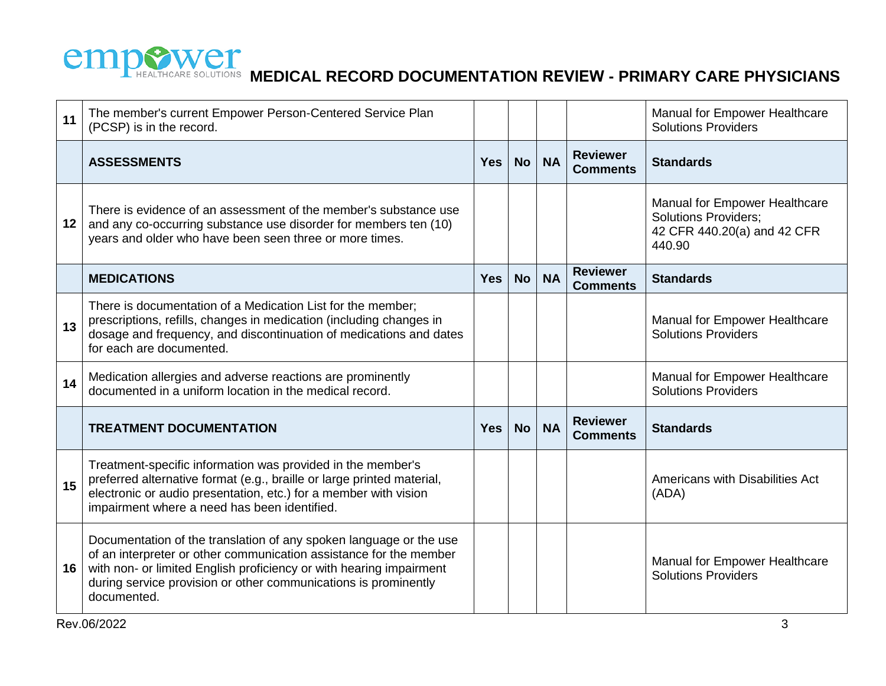

| 11 | The member's current Empower Person-Centered Service Plan<br>(PCSP) is in the record.                                                                                                                                                                                                             |            |           |           |                                    | Manual for Empower Healthcare<br><b>Solutions Providers</b>                                                  |
|----|---------------------------------------------------------------------------------------------------------------------------------------------------------------------------------------------------------------------------------------------------------------------------------------------------|------------|-----------|-----------|------------------------------------|--------------------------------------------------------------------------------------------------------------|
|    | <b>ASSESSMENTS</b>                                                                                                                                                                                                                                                                                | <b>Yes</b> | <b>No</b> | <b>NA</b> | <b>Reviewer</b><br><b>Comments</b> | <b>Standards</b>                                                                                             |
| 12 | There is evidence of an assessment of the member's substance use<br>and any co-occurring substance use disorder for members ten (10)<br>years and older who have been seen three or more times.                                                                                                   |            |           |           |                                    | <b>Manual for Empower Healthcare</b><br><b>Solutions Providers;</b><br>42 CFR 440.20(a) and 42 CFR<br>440.90 |
|    | <b>MEDICATIONS</b>                                                                                                                                                                                                                                                                                | <b>Yes</b> | <b>No</b> | <b>NA</b> | <b>Reviewer</b><br><b>Comments</b> | <b>Standards</b>                                                                                             |
| 13 | There is documentation of a Medication List for the member;<br>prescriptions, refills, changes in medication (including changes in<br>dosage and frequency, and discontinuation of medications and dates<br>for each are documented.                                                              |            |           |           |                                    | Manual for Empower Healthcare<br><b>Solutions Providers</b>                                                  |
| 14 | Medication allergies and adverse reactions are prominently<br>documented in a uniform location in the medical record.                                                                                                                                                                             |            |           |           |                                    | Manual for Empower Healthcare<br><b>Solutions Providers</b>                                                  |
|    | <b>TREATMENT DOCUMENTATION</b>                                                                                                                                                                                                                                                                    | <b>Yes</b> | <b>No</b> | <b>NA</b> | <b>Reviewer</b><br><b>Comments</b> | <b>Standards</b>                                                                                             |
| 15 | Treatment-specific information was provided in the member's<br>preferred alternative format (e.g., braille or large printed material,<br>electronic or audio presentation, etc.) for a member with vision<br>impairment where a need has been identified.                                         |            |           |           |                                    | Americans with Disabilities Act<br>(ADA)                                                                     |
| 16 | Documentation of the translation of any spoken language or the use<br>of an interpreter or other communication assistance for the member<br>with non- or limited English proficiency or with hearing impairment<br>during service provision or other communications is prominently<br>documented. |            |           |           |                                    | Manual for Empower Healthcare<br><b>Solutions Providers</b>                                                  |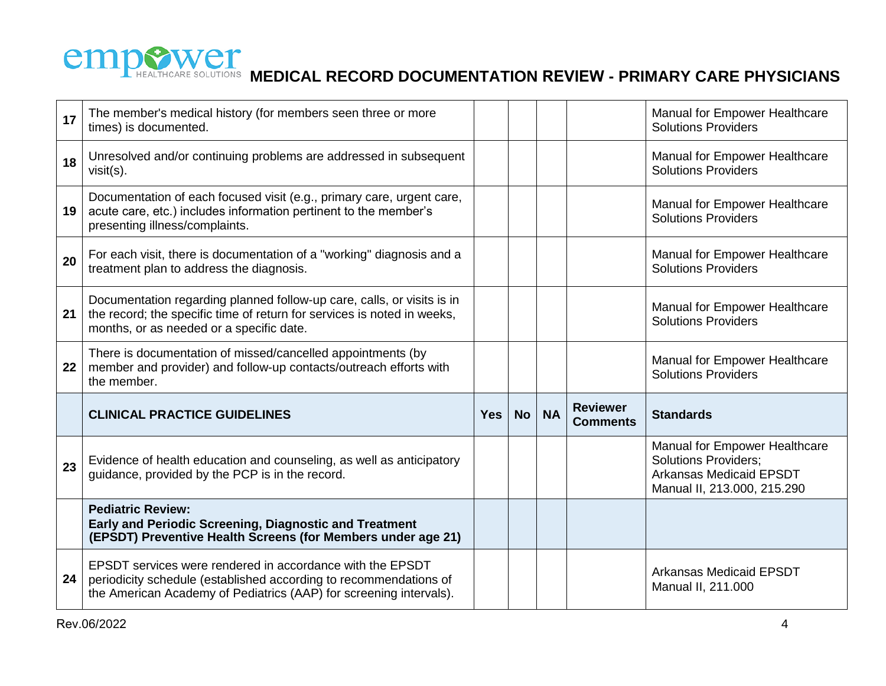

| 17 | The member's medical history (for members seen three or more<br>times) is documented.                                                                                                                |            |           |           |                                    | Manual for Empower Healthcare<br><b>Solutions Providers</b>                                                                   |
|----|------------------------------------------------------------------------------------------------------------------------------------------------------------------------------------------------------|------------|-----------|-----------|------------------------------------|-------------------------------------------------------------------------------------------------------------------------------|
| 18 | Unresolved and/or continuing problems are addressed in subsequent<br>$visit(s)$ .                                                                                                                    |            |           |           |                                    | Manual for Empower Healthcare<br><b>Solutions Providers</b>                                                                   |
| 19 | Documentation of each focused visit (e.g., primary care, urgent care,<br>acute care, etc.) includes information pertinent to the member's<br>presenting illness/complaints.                          |            |           |           |                                    | Manual for Empower Healthcare<br><b>Solutions Providers</b>                                                                   |
| 20 | For each visit, there is documentation of a "working" diagnosis and a<br>treatment plan to address the diagnosis.                                                                                    |            |           |           |                                    | Manual for Empower Healthcare<br><b>Solutions Providers</b>                                                                   |
| 21 | Documentation regarding planned follow-up care, calls, or visits is in<br>the record; the specific time of return for services is noted in weeks,<br>months, or as needed or a specific date.        |            |           |           |                                    | Manual for Empower Healthcare<br><b>Solutions Providers</b>                                                                   |
| 22 | There is documentation of missed/cancelled appointments (by<br>member and provider) and follow-up contacts/outreach efforts with<br>the member.                                                      |            |           |           |                                    | Manual for Empower Healthcare<br><b>Solutions Providers</b>                                                                   |
|    | <b>CLINICAL PRACTICE GUIDELINES</b>                                                                                                                                                                  | <b>Yes</b> | <b>No</b> | <b>NA</b> | <b>Reviewer</b><br><b>Comments</b> | <b>Standards</b>                                                                                                              |
| 23 | Evidence of health education and counseling, as well as anticipatory<br>guidance, provided by the PCP is in the record.                                                                              |            |           |           |                                    | Manual for Empower Healthcare<br><b>Solutions Providers;</b><br><b>Arkansas Medicaid EPSDT</b><br>Manual II, 213.000, 215.290 |
|    | <b>Pediatric Review:</b><br>Early and Periodic Screening, Diagnostic and Treatment<br>(EPSDT) Preventive Health Screens (for Members under age 21)                                                   |            |           |           |                                    |                                                                                                                               |
| 24 | EPSDT services were rendered in accordance with the EPSDT<br>periodicity schedule (established according to recommendations of<br>the American Academy of Pediatrics (AAP) for screening intervals). |            |           |           |                                    | <b>Arkansas Medicaid EPSDT</b><br>Manual II, 211.000                                                                          |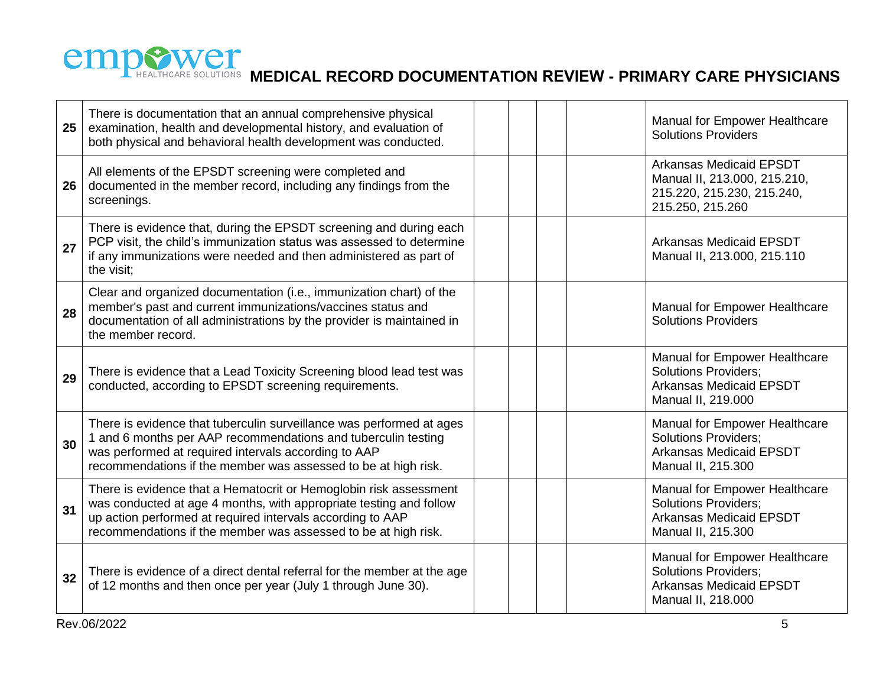

| 25 | There is documentation that an annual comprehensive physical<br>examination, health and developmental history, and evaluation of<br>both physical and behavioral health development was conducted.                                                                      |  |  | Manual for Empower Healthcare<br><b>Solutions Providers</b>                                                                 |
|----|-------------------------------------------------------------------------------------------------------------------------------------------------------------------------------------------------------------------------------------------------------------------------|--|--|-----------------------------------------------------------------------------------------------------------------------------|
| 26 | All elements of the EPSDT screening were completed and<br>documented in the member record, including any findings from the<br>screenings.                                                                                                                               |  |  | <b>Arkansas Medicaid EPSDT</b><br>Manual II, 213.000, 215.210,<br>215.220, 215.230, 215.240,<br>215.250, 215.260            |
| 27 | There is evidence that, during the EPSDT screening and during each<br>PCP visit, the child's immunization status was assessed to determine<br>if any immunizations were needed and then administered as part of<br>the visit;                                           |  |  | <b>Arkansas Medicaid EPSDT</b><br>Manual II, 213.000, 215.110                                                               |
| 28 | Clear and organized documentation (i.e., immunization chart) of the<br>member's past and current immunizations/vaccines status and<br>documentation of all administrations by the provider is maintained in<br>the member record.                                       |  |  | Manual for Empower Healthcare<br><b>Solutions Providers</b>                                                                 |
| 29 | There is evidence that a Lead Toxicity Screening blood lead test was<br>conducted, according to EPSDT screening requirements.                                                                                                                                           |  |  | <b>Manual for Empower Healthcare</b><br><b>Solutions Providers;</b><br><b>Arkansas Medicaid EPSDT</b><br>Manual II, 219.000 |
| 30 | There is evidence that tuberculin surveillance was performed at ages<br>1 and 6 months per AAP recommendations and tuberculin testing<br>was performed at required intervals according to AAP<br>recommendations if the member was assessed to be at high risk.         |  |  | Manual for Empower Healthcare<br>Solutions Providers;<br><b>Arkansas Medicaid EPSDT</b><br>Manual II, 215.300               |
| 31 | There is evidence that a Hematocrit or Hemoglobin risk assessment<br>was conducted at age 4 months, with appropriate testing and follow<br>up action performed at required intervals according to AAP<br>recommendations if the member was assessed to be at high risk. |  |  | Manual for Empower Healthcare<br><b>Solutions Providers;</b><br><b>Arkansas Medicaid EPSDT</b><br>Manual II, 215.300        |
| 32 | There is evidence of a direct dental referral for the member at the age<br>of 12 months and then once per year (July 1 through June 30).                                                                                                                                |  |  | Manual for Empower Healthcare<br><b>Solutions Providers;</b><br><b>Arkansas Medicaid EPSDT</b><br>Manual II, 218.000        |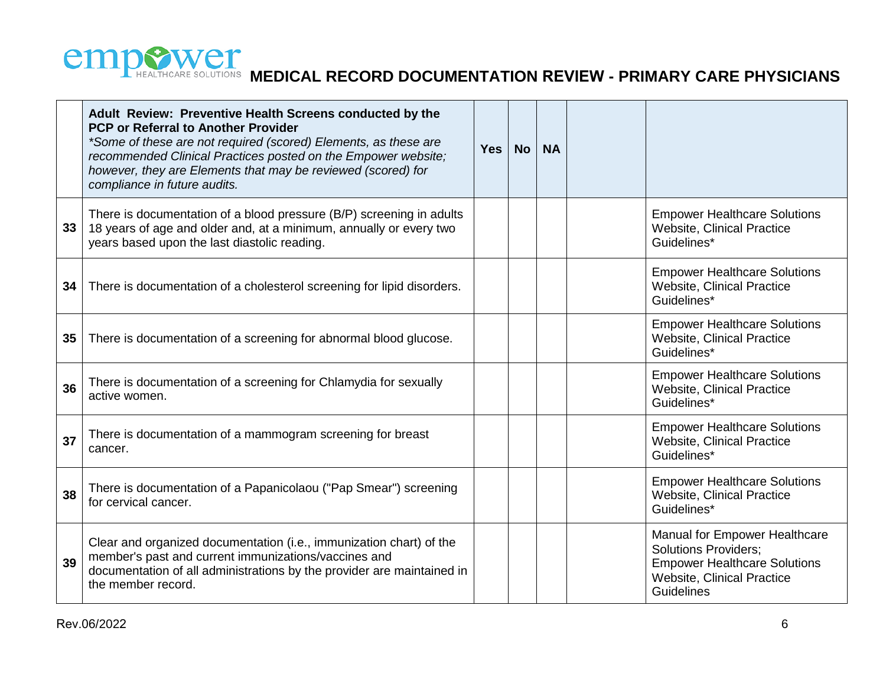

|    | Adult Review: Preventive Health Screens conducted by the<br><b>PCP or Referral to Another Provider</b><br>*Some of these are not required (scored) Elements, as these are<br>recommended Clinical Practices posted on the Empower website;<br>however, they are Elements that may be reviewed (scored) for<br>compliance in future audits. | <b>Yes</b> | <b>No</b> | <b>NA</b> |                                                                                                                                                 |
|----|--------------------------------------------------------------------------------------------------------------------------------------------------------------------------------------------------------------------------------------------------------------------------------------------------------------------------------------------|------------|-----------|-----------|-------------------------------------------------------------------------------------------------------------------------------------------------|
| 33 | There is documentation of a blood pressure (B/P) screening in adults<br>18 years of age and older and, at a minimum, annually or every two<br>years based upon the last diastolic reading.                                                                                                                                                 |            |           |           | <b>Empower Healthcare Solutions</b><br><b>Website, Clinical Practice</b><br>Guidelines*                                                         |
| 34 | There is documentation of a cholesterol screening for lipid disorders.                                                                                                                                                                                                                                                                     |            |           |           | <b>Empower Healthcare Solutions</b><br><b>Website, Clinical Practice</b><br>Guidelines*                                                         |
| 35 | There is documentation of a screening for abnormal blood glucose.                                                                                                                                                                                                                                                                          |            |           |           | <b>Empower Healthcare Solutions</b><br><b>Website, Clinical Practice</b><br>Guidelines*                                                         |
| 36 | There is documentation of a screening for Chlamydia for sexually<br>active women.                                                                                                                                                                                                                                                          |            |           |           | <b>Empower Healthcare Solutions</b><br><b>Website, Clinical Practice</b><br>Guidelines*                                                         |
| 37 | There is documentation of a mammogram screening for breast<br>cancer.                                                                                                                                                                                                                                                                      |            |           |           | <b>Empower Healthcare Solutions</b><br><b>Website, Clinical Practice</b><br>Guidelines*                                                         |
| 38 | There is documentation of a Papanicolaou ("Pap Smear") screening<br>for cervical cancer.                                                                                                                                                                                                                                                   |            |           |           | <b>Empower Healthcare Solutions</b><br><b>Website, Clinical Practice</b><br>Guidelines*                                                         |
| 39 | Clear and organized documentation (i.e., immunization chart) of the<br>member's past and current immunizations/vaccines and<br>documentation of all administrations by the provider are maintained in<br>the member record.                                                                                                                |            |           |           | Manual for Empower Healthcare<br><b>Solutions Providers;</b><br><b>Empower Healthcare Solutions</b><br>Website, Clinical Practice<br>Guidelines |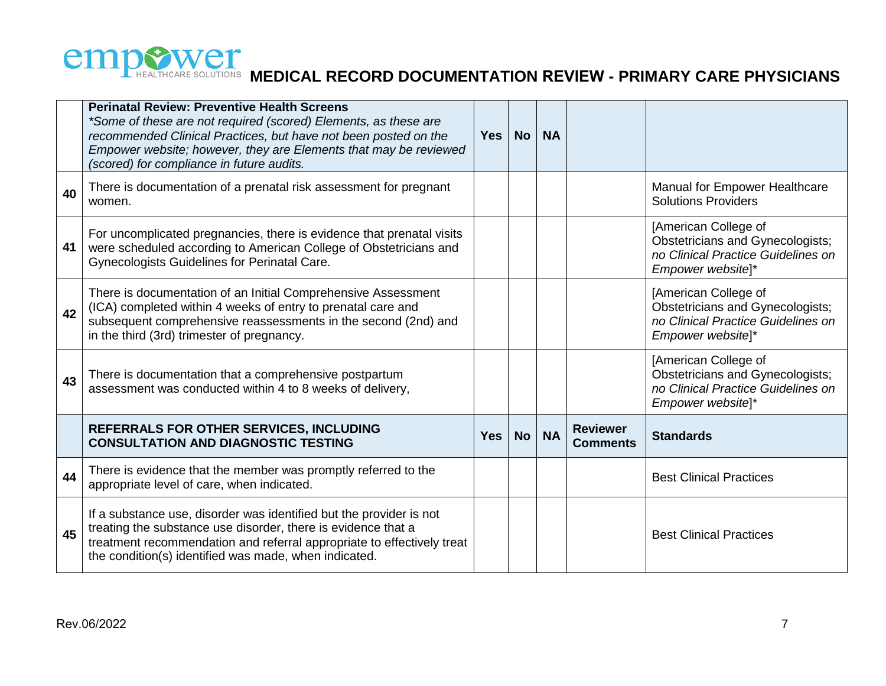

|    | <b>Perinatal Review: Preventive Health Screens</b><br>*Some of these are not required (scored) Elements, as these are<br>recommended Clinical Practices, but have not been posted on the<br>Empower website; however, they are Elements that may be reviewed<br>(scored) for compliance in future audits. | <b>Yes</b> | <b>No</b> | <b>NA</b> |                                    |                                                                                                                            |
|----|-----------------------------------------------------------------------------------------------------------------------------------------------------------------------------------------------------------------------------------------------------------------------------------------------------------|------------|-----------|-----------|------------------------------------|----------------------------------------------------------------------------------------------------------------------------|
| 40 | There is documentation of a prenatal risk assessment for pregnant<br>women.                                                                                                                                                                                                                               |            |           |           |                                    | Manual for Empower Healthcare<br><b>Solutions Providers</b>                                                                |
| 41 | For uncomplicated pregnancies, there is evidence that prenatal visits<br>were scheduled according to American College of Obstetricians and<br>Gynecologists Guidelines for Perinatal Care.                                                                                                                |            |           |           |                                    | [American College of<br><b>Obstetricians and Gynecologists;</b><br>no Clinical Practice Guidelines on<br>Empower website]* |
| 42 | There is documentation of an Initial Comprehensive Assessment<br>(ICA) completed within 4 weeks of entry to prenatal care and<br>subsequent comprehensive reassessments in the second (2nd) and<br>in the third (3rd) trimester of pregnancy.                                                             |            |           |           |                                    | [American College of<br>Obstetricians and Gynecologists;<br>no Clinical Practice Guidelines on<br>Empower website]*        |
| 43 | There is documentation that a comprehensive postpartum<br>assessment was conducted within 4 to 8 weeks of delivery,                                                                                                                                                                                       |            |           |           |                                    | [American College of<br>Obstetricians and Gynecologists;<br>no Clinical Practice Guidelines on<br>Empower website]*        |
|    | <b>REFERRALS FOR OTHER SERVICES, INCLUDING</b><br><b>CONSULTATION AND DIAGNOSTIC TESTING</b>                                                                                                                                                                                                              | <b>Yes</b> | <b>No</b> | <b>NA</b> | <b>Reviewer</b><br><b>Comments</b> | <b>Standards</b>                                                                                                           |
| 44 | There is evidence that the member was promptly referred to the<br>appropriate level of care, when indicated.                                                                                                                                                                                              |            |           |           |                                    | <b>Best Clinical Practices</b>                                                                                             |
| 45 | If a substance use, disorder was identified but the provider is not<br>treating the substance use disorder, there is evidence that a<br>treatment recommendation and referral appropriate to effectively treat<br>the condition(s) identified was made, when indicated.                                   |            |           |           |                                    | <b>Best Clinical Practices</b>                                                                                             |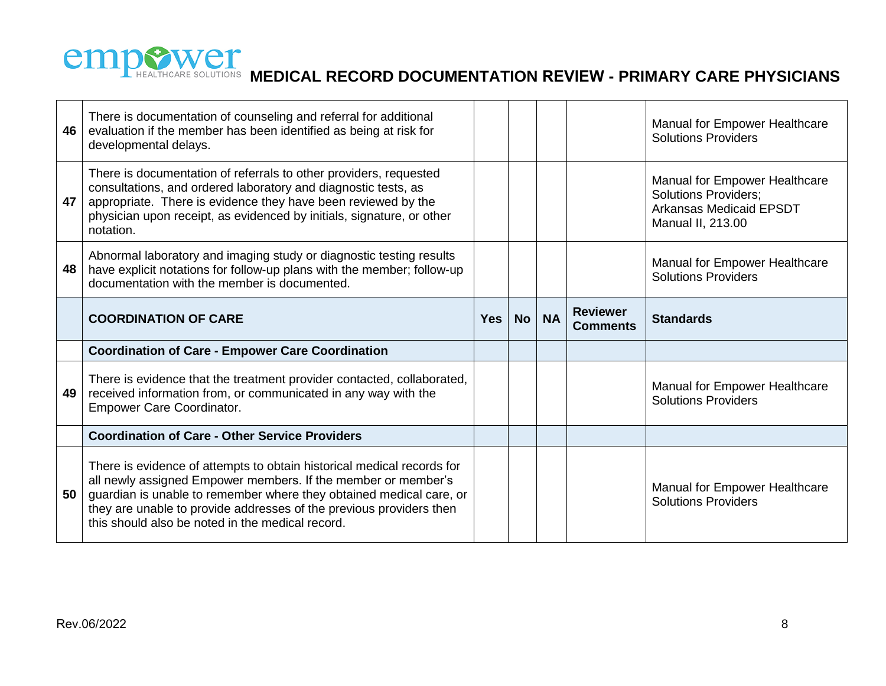

| 46 | There is documentation of counseling and referral for additional<br>evaluation if the member has been identified as being at risk for<br>developmental delays.                                                                                                                             |            |           |           |                 | Manual for Empower Healthcare<br><b>Solutions Providers</b>                                                         |
|----|--------------------------------------------------------------------------------------------------------------------------------------------------------------------------------------------------------------------------------------------------------------------------------------------|------------|-----------|-----------|-----------------|---------------------------------------------------------------------------------------------------------------------|
| 47 | There is documentation of referrals to other providers, requested<br>consultations, and ordered laboratory and diagnostic tests, as<br>appropriate. There is evidence they have been reviewed by the<br>physician upon receipt, as evidenced by initials, signature, or other<br>notation. |            |           |           |                 | Manual for Empower Healthcare<br><b>Solutions Providers;</b><br><b>Arkansas Medicaid EPSDT</b><br>Manual II, 213.00 |
| 48 | Abnormal laboratory and imaging study or diagnostic testing results<br>have explicit notations for follow-up plans with the member; follow-up<br>documentation with the member is documented.                                                                                              |            |           |           |                 | Manual for Empower Healthcare<br><b>Solutions Providers</b>                                                         |
|    | <b>COORDINATION OF CARE</b>                                                                                                                                                                                                                                                                | <b>Yes</b> | <b>No</b> | <b>NA</b> | <b>Reviewer</b> | <b>Standards</b>                                                                                                    |
|    |                                                                                                                                                                                                                                                                                            |            |           |           | <b>Comments</b> |                                                                                                                     |
|    | <b>Coordination of Care - Empower Care Coordination</b>                                                                                                                                                                                                                                    |            |           |           |                 |                                                                                                                     |
| 49 | There is evidence that the treatment provider contacted, collaborated,<br>received information from, or communicated in any way with the<br><b>Empower Care Coordinator.</b>                                                                                                               |            |           |           |                 | Manual for Empower Healthcare<br><b>Solutions Providers</b>                                                         |
|    | <b>Coordination of Care - Other Service Providers</b>                                                                                                                                                                                                                                      |            |           |           |                 |                                                                                                                     |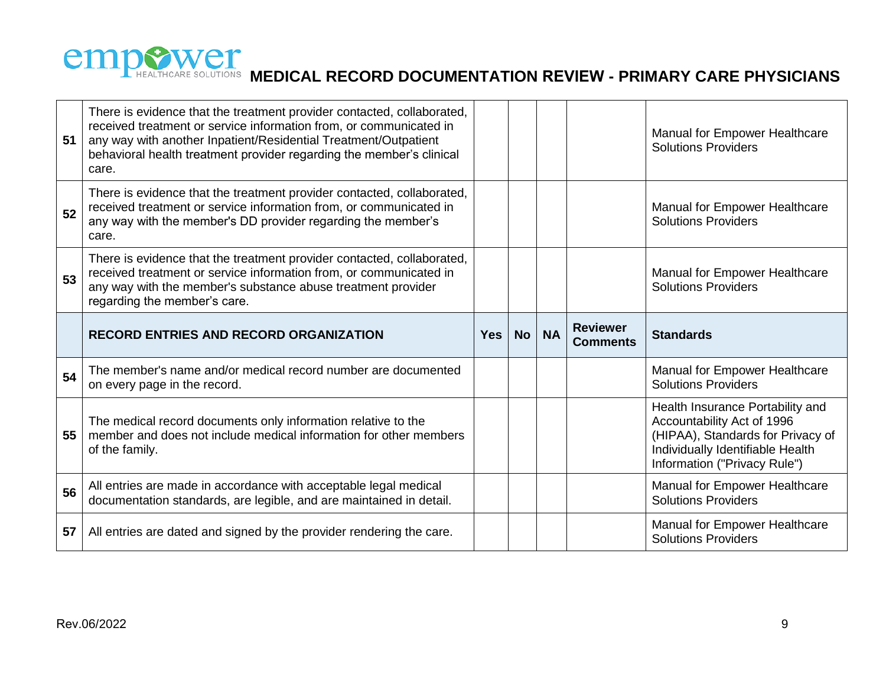

| 51 | There is evidence that the treatment provider contacted, collaborated,<br>received treatment or service information from, or communicated in<br>any way with another Inpatient/Residential Treatment/Outpatient<br>behavioral health treatment provider regarding the member's clinical<br>care. |            |           |           |                                    | Manual for Empower Healthcare<br><b>Solutions Providers</b>                                                                                                             |
|----|--------------------------------------------------------------------------------------------------------------------------------------------------------------------------------------------------------------------------------------------------------------------------------------------------|------------|-----------|-----------|------------------------------------|-------------------------------------------------------------------------------------------------------------------------------------------------------------------------|
| 52 | There is evidence that the treatment provider contacted, collaborated,<br>received treatment or service information from, or communicated in<br>any way with the member's DD provider regarding the member's<br>care.                                                                            |            |           |           |                                    | Manual for Empower Healthcare<br><b>Solutions Providers</b>                                                                                                             |
| 53 | There is evidence that the treatment provider contacted, collaborated,<br>received treatment or service information from, or communicated in<br>any way with the member's substance abuse treatment provider<br>regarding the member's care.                                                     |            |           |           |                                    | Manual for Empower Healthcare<br><b>Solutions Providers</b>                                                                                                             |
|    |                                                                                                                                                                                                                                                                                                  |            |           |           |                                    |                                                                                                                                                                         |
|    | <b>RECORD ENTRIES AND RECORD ORGANIZATION</b>                                                                                                                                                                                                                                                    | <b>Yes</b> | <b>No</b> | <b>NA</b> | <b>Reviewer</b><br><b>Comments</b> | <b>Standards</b>                                                                                                                                                        |
| 54 | The member's name and/or medical record number are documented<br>on every page in the record.                                                                                                                                                                                                    |            |           |           |                                    | <b>Manual for Empower Healthcare</b><br><b>Solutions Providers</b>                                                                                                      |
| 55 | The medical record documents only information relative to the<br>member and does not include medical information for other members<br>of the family.                                                                                                                                             |            |           |           |                                    | Health Insurance Portability and<br>Accountability Act of 1996<br>(HIPAA), Standards for Privacy of<br>Individually Identifiable Health<br>Information ("Privacy Rule") |
| 56 | All entries are made in accordance with acceptable legal medical<br>documentation standards, are legible, and are maintained in detail.                                                                                                                                                          |            |           |           |                                    | Manual for Empower Healthcare<br><b>Solutions Providers</b>                                                                                                             |